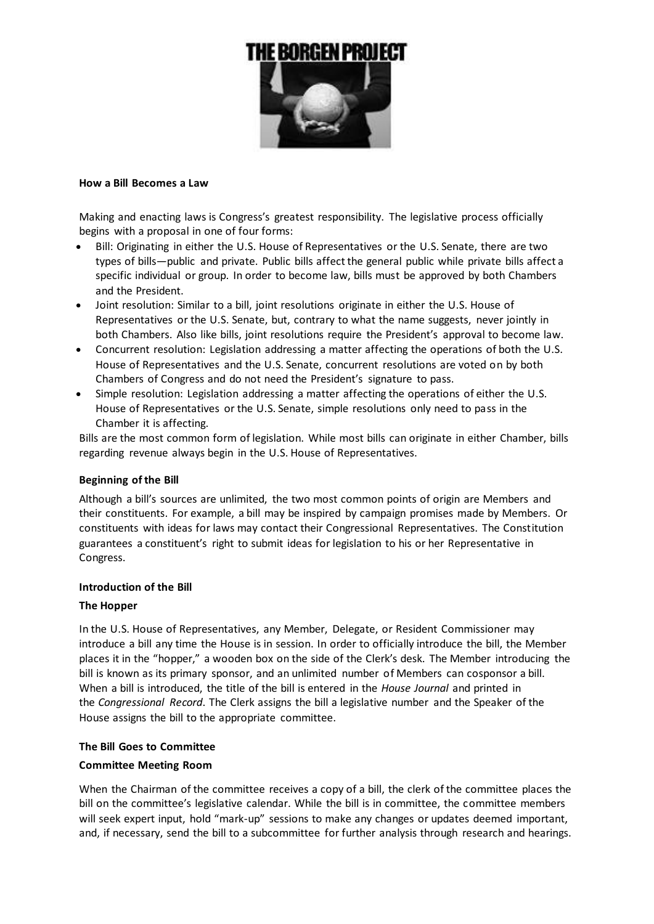

### **How a Bill Becomes a Law**

Making and enacting laws is Congress's greatest responsibility. The legislative process officially begins with a proposal in one of four forms:

- Bill: Originating in either the U.S. House of Representatives or the U.S. Senate, there are two types of bills—public and private. Public bills affect the general public while private bills affect a specific individual or group. In order to become law, bills must be approved by both Chambers and the President.
- Joint resolution: Similar to a bill, joint resolutions originate in either the U.S. House of Representatives or the U.S. Senate, but, contrary to what the name suggests, never jointly in both Chambers. Also like bills, joint resolutions require the President's approval to become law.
- Concurrent resolution: Legislation addressing a matter affecting the operations of both the U.S. House of Representatives and the U.S. Senate, concurrent resolutions are voted on by both Chambers of Congress and do not need the President's signature to pass.
- Simple resolution: Legislation addressing a matter affecting the operations of either the U.S. House of Representatives or the U.S. Senate, simple resolutions only need to pass in the Chamber it is affecting.

Bills are the most common form of legislation. While most bills can originate in either Chamber, bills regarding revenue always begin in the U.S. House of Representatives.

## **Beginning of the Bill**

Although a bill's sources are unlimited, the two most common points of origin are Members and their constituents. For example, a bill may be inspired by campaign promises made by Members. Or constituents with ideas for laws may contact their Congressional Representatives. The Constitution guarantees a constituent's right to submit ideas for legislation to his or her Representative in Congress.

### **Introduction of the Bill**

#### **The Hopper**

In the U.S. House of Representatives, any Member, Delegate, or Resident Commissioner may introduce a bill any time the House is in session. In order to officially introduce the bill, the Member places it in the "hopper," a wooden box on the side of the Clerk's desk. The Member introducing the bill is known as its primary sponsor, and an unlimited number of Members can cosponsor a bill. When a bill is introduced, the title of the bill is entered in the *House Journal* and printed in the *Congressional Record*. The Clerk assigns the bill a legislative number and the Speaker of the House assigns the bill to the appropriate committee.

### **The Bill Goes to Committee**

#### **Committee Meeting Room**

When the Chairman of the committee receives a copy of a bill, the clerk of the committee places the bill on the committee's legislative calendar. While the bill is in committee, the committee members will seek expert input, hold "mark-up" sessions to make any changes or updates deemed important, and, if necessary, send the bill to a subcommittee for further analysis through research and hearings.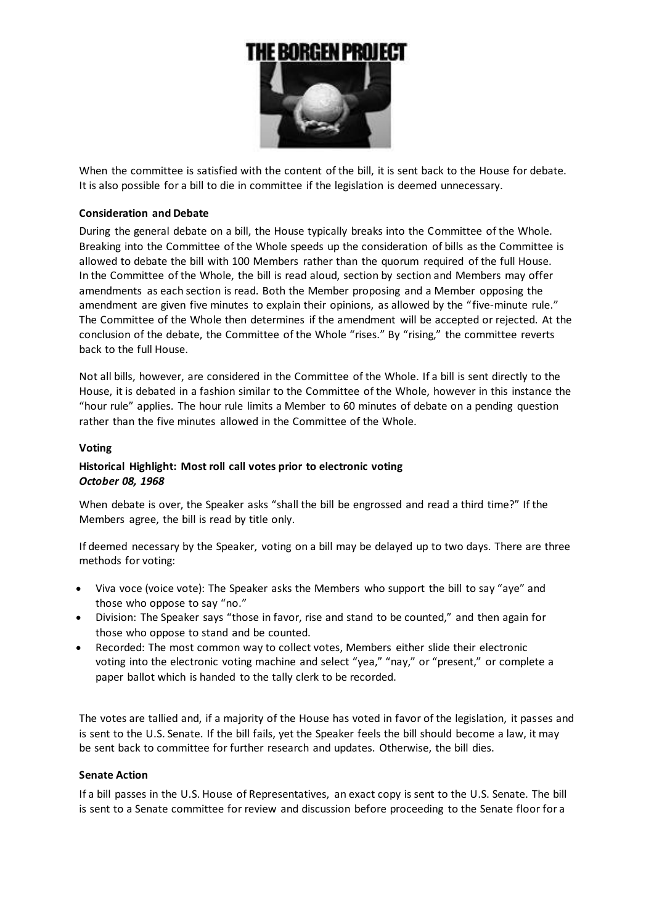

When the committee is satisfied with the content of the bill, it is sent back to the House for debate. It is also possible for a bill to die in committee if the legislation is deemed unnecessary.

## **Consideration and Debate**

During the general debate on a bill, the House typically breaks into the Committee of the Whole. Breaking into the Committee of the Whole speeds up the consideration of bills as the Committee is allowed to debate the bill with 100 Members rather than the quorum required of the full House. In the Committee of the Whole, the bill is read aloud, section by section and Members may offer amendments as each section is read. Both the Member proposing and a Member opposing the amendment are given five minutes to explain their opinions, as allowed by the "five-minute rule." The Committee of the Whole then determines if the amendment will be accepted or rejected. At the conclusion of the debate, the Committee of the Whole "rises." By "rising," the committee reverts back to the full House.

Not all bills, however, are considered in the Committee of the Whole. If a bill is sent directly to the House, it is debated in a fashion similar to the Committee of the Whole, however in this instance the "hour rule" applies. The hour rule limits a Member to 60 minutes of debate on a pending question rather than the five minutes allowed in the Committee of the Whole.

## **Voting**

# **Historical Highlight: Most roll call votes prior to electronic voting** *October 08, 1968*

When debate is over, the Speaker asks "shall the bill be engrossed and read a third time?" If the Members agree, the bill is read by title only.

If deemed necessary by the Speaker, voting on a bill may be delayed up to two days. There are three methods for voting:

- Viva voce (voice vote): The Speaker asks the Members who support the bill to say "aye" and those who oppose to say "no."
- Division: The Speaker says "those in favor, rise and stand to be counted," and then again for those who oppose to stand and be counted.
- Recorded: The most common way to collect votes, Members either slide their electronic voting into the electronic voting machine and select "yea," "nay," or "present," or complete a paper ballot which is handed to the tally clerk to be recorded.

The votes are tallied and, if a majority of the House has voted in favor of the legislation, it passes and is sent to the U.S. Senate. If the bill fails, yet the Speaker feels the bill should become a law, it may be sent back to committee for further research and updates. Otherwise, the bill dies.

## **Senate Action**

If a bill passes in the U.S. House of Representatives, an exact copy is sent to the U.S. Senate. The bill is sent to a Senate committee for review and discussion before proceeding to the Senate floor for a